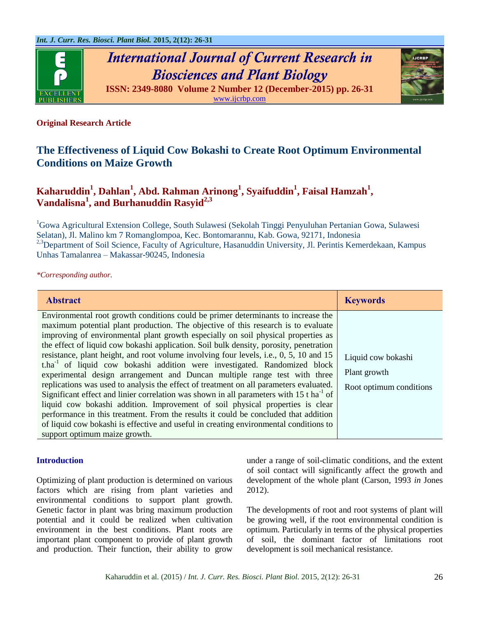

*International Journal of Current Research in Biosciences and Plant Biology* **ISSN: 2349-8080 Volume 2 Number 12 (December-2015) pp. 26-31**



[www.ijcrbp.com](http://www.ijcrbp.com/)

# **Original Research Article**

# **The Effectiveness of Liquid Cow Bokashi to Create Root Optimum Environmental Conditions on Maize Growth**

# **Kaharuddin<sup>1</sup> , Dahlan<sup>1</sup> , Abd. Rahman Arinong<sup>1</sup> , Syaifuddin<sup>1</sup> , Faisal Hamzah<sup>1</sup> , Vandalisna<sup>1</sup> , and Burhanuddin Rasyid2,3**

<sup>1</sup>Gowa Agricultural Extension College, South Sulawesi (Sekolah Tinggi Penyuluhan Pertanian Gowa, Sulawesi Selatan), Jl. Malino km 7 Romanglompoa, Kec. Bontomarannu, Kab. Gowa, 92171, Indonesia <sup>2,3</sup>Department of Soil Science, Faculty of Agriculture, Hasanuddin University, Jl. Perintis Kemerdekaan, Kampus Unhas Tamalanrea – Makassar-90245, Indonesia

*\*Corresponding author.*

| <b>Abstract</b>                                                                                                                                                                                                                                                                                                                                                                                                                                                                                                                                                                                                                                                                                                                                                                                                                                                                                                                                                                                                                                                                                                            | <b>Keywords</b>                                               |
|----------------------------------------------------------------------------------------------------------------------------------------------------------------------------------------------------------------------------------------------------------------------------------------------------------------------------------------------------------------------------------------------------------------------------------------------------------------------------------------------------------------------------------------------------------------------------------------------------------------------------------------------------------------------------------------------------------------------------------------------------------------------------------------------------------------------------------------------------------------------------------------------------------------------------------------------------------------------------------------------------------------------------------------------------------------------------------------------------------------------------|---------------------------------------------------------------|
| Environmental root growth conditions could be primer determinants to increase the<br>maximum potential plant production. The objective of this research is to evaluate<br>improving of environmental plant growth especially on soil physical properties as<br>the effect of liquid cow bokashi application. Soil bulk density, porosity, penetration<br>resistance, plant height, and root volume involving four levels, i.e., 0, 5, 10 and 15<br>t.ha <sup>-1</sup> of liquid cow bokashi addition were investigated. Randomized block<br>experimental design arrangement and Duncan multiple range test with three<br>replications was used to analysis the effect of treatment on all parameters evaluated.<br>Significant effect and linier correlation was shown in all parameters with $15$ t ha <sup>-1</sup> of<br>liquid cow bokashi addition. Improvement of soil physical properties is clear<br>performance in this treatment. From the results it could be concluded that addition<br>of liquid cow bokashi is effective and useful in creating environmental conditions to<br>support optimum maize growth. | Liquid cow bokashi<br>Plant growth<br>Root optimum conditions |

# **Introduction**

Optimizing of plant production is determined on various factors which are rising from plant varieties and environmental conditions to support plant growth. Genetic factor in plant was bring maximum production potential and it could be realized when cultivation environment in the best conditions. Plant roots are important plant component to provide of plant growth and production. Their function, their ability to grow under a range of soil-climatic conditions, and the extent of soil contact will significantly affect the growth and development of the whole plant (Carson, 1993 *in* Jones 2012).

The developments of root and root systems of plant will be growing well, if the root environmental condition is optimum. Particularly in terms of the physical properties of soil, the dominant factor of limitations root development is soil mechanical resistance.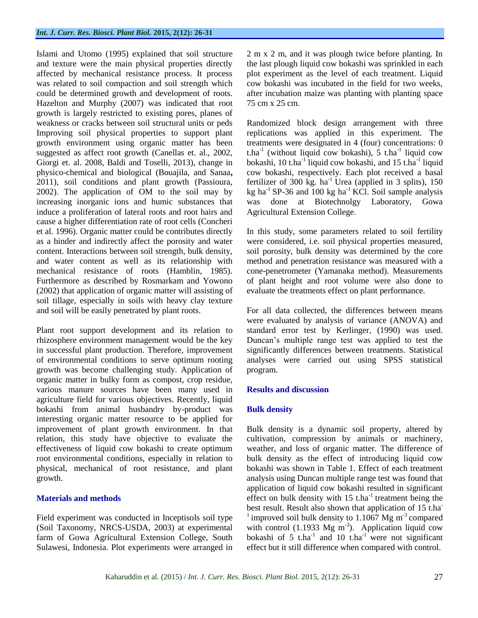Islami and Utomo (1995) explained that soil structure and texture were the main physical properties directly affected by mechanical resistance process. It process was related to soil compaction and soil strength which could be determined growth and development of roots. Hazelton and Murphy (2007) was indicated that root growth is largely restricted to existing pores, planes of weakness or cracks between soil structural units or peds Improving soil physical properties to support plant growth environment using organic matter has been suggested as affect root growth (Canellas et. al., 2002, Giorgi et. al. 2008, Baldi and Toselli, 2013), change in physico-chemical and biological (Bouajila, and Sanaa**,**  2011), soil conditions and plant growth (Passioura, 2002). The application of OM to the soil may by increasing inorganic ions and humic substances that induce a proliferation of lateral roots and root hairs and cause a higher differentiation rate of root cells (Concheri et al. 1996). Organic matter could be contributes directly as a binder and indirectly affect the porosity and water content. Interactions between soil strength, bulk density, and water content as well as its relationship with mechanical resistance of roots (Hamblin, 1985). Furthermore as described by Rosmarkam and Yowono (2002) that application of organic matter will assisting of soil tillage, especially in soils with heavy clay texture and soil will be easily penetrated by plant roots.

Plant root support development and its relation to rhizosphere environment management would be the key in successful plant production. Therefore, improvement of environmental conditions to serve optimum rooting growth was become challenging study. Application of organic matter in bulky form as compost, crop residue, various manure sources have been many used in agriculture field for various objectives. Recently, liquid bokashi from animal husbandry by-product was interesting organic matter resource to be applied for improvement of plant growth environment. In that relation, this study have objective to evaluate the effectiveness of liquid cow bokashi to create optimum root environmental conditions, especially in relation to physical, mechanical of root resistance, and plant growth.

# **Materials and methods**

Field experiment was conducted in Inceptisols soil type (Soil Taxonomy, NRCS-USDA, 2003) at experimental farm of Gowa Agricultural Extension College, South Sulawesi, Indonesia. Plot experiments were arranged in 2 m x 2 m, and it was plough twice before planting. In the last plough liquid cow bokashi was sprinkled in each plot experiment as the level of each treatment. Liquid cow bokashi was incubated in the field for two weeks, after incubation maize was planting with planting space 75 cm x 25 cm.

Randomized block design arrangement with three replications was applied in this experiment. The treatments were designated in 4 (four) concentrations: 0  $t.ha^{-1}$  (without liquid cow bokashi), 5  $t.ha^{-1}$  liquid cow bokashi, 10 t.ha<sup>-1</sup> liquid cow bokashi, and 15 t.ha<sup>-1</sup> liquid cow bokashi, respectively. Each plot received a basal fertilizer of 300 kg.  $ha^{-1}$  Urea (applied in 3 splits), 150 kg ha<sup>-1</sup> SP-36 and 100 kg ha<sup>-1</sup> KCl. Soil sample analysis was done at Biotechnolgy Laboratory, Gowa Agricultural Extension College.

In this study, some parameters related to soil fertility were considered, i.e. soil physical properties measured, soil porosity, bulk density was determined by the core method and penetration resistance was measured with a cone-penetrometer (Yamanaka method). Measurements of plant height and root volume were also done to evaluate the treatments effect on plant performance.

For all data collected, the differences between means were evaluated by analysis of variance (ANOVA) and standard error test by Kerlinger, (1990) was used. Duncan's multiple range test was applied to test the significantly differences between treatments. Statistical analyses were carried out using SPSS statistical program.

# **Results and discussion**

# **Bulk density**

Bulk density is a dynamic soil property, altered by cultivation, compression by animals or machinery, weather, and loss of organic matter. The difference of bulk density as the effect of introducing liquid cow bokashi was shown in Table 1. Effect of each treatment analysis using Duncan multiple range test was found that application of liquid cow bokashi resulted in significant effect on bulk density with  $15$  t.ha<sup>-1</sup> treatment being the best result. Result also shown that application of 15 t.ha<sup>-</sup> <sup>1</sup> improved soil bulk density to 1.1067 Mg m<sup>-3</sup> compared with control (1.1933 Mg  $m^{-3}$ ). Application liquid cow bokashi of 5 t.ha<sup>-1</sup> and 10 t.ha<sup>-1</sup> were not significant effect but it still difference when compared with control.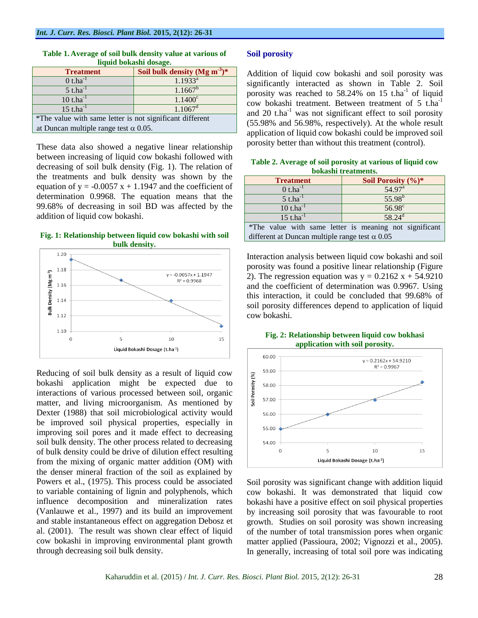| <b>Treatment</b>                                         | Soil bulk density (Mg m <sup>-3</sup> ) <sup>*</sup> |
|----------------------------------------------------------|------------------------------------------------------|
| $0$ t.ha <sup>-1</sup>                                   | $1.1933^{a}$                                         |
| $5$ t.ha <sup>-1</sup>                                   | $1.1667^b$                                           |
| $10$ t.ha $^{-1}$                                        | $1.1400^c$                                           |
| $15$ t.ha <sup>-1</sup>                                  | $1.1067$ <sup>d</sup>                                |
| *The value with same letter is not significant different |                                                      |
| at Duncan multiple range test $\alpha$ 0.05.             |                                                      |

#### **Table 1. Average of soil bulk density value at various of liquid bokashi dosage.**

These data also showed a negative linear relationship between increasing of liquid cow bokashi followed with decreasing of soil bulk density (Fig. 1). The relation of the treatments and bulk density was shown by the equation of  $y = -0.0057 x + 1.1947$  and the coefficient of determination 0.9968. The equation means that the 99.68% of decreasing in soil BD was affected by the addition of liquid cow bokashi.

#### **Fig. 1: Relationship between liquid cow bokashi with soil bulk density.**



Reducing of soil bulk density as a result of liquid cow bokashi application might be expected due to interactions of various processed between soil, organic matter, and living microorganism. As mentioned by Dexter (1988) that soil microbiological activity would be improved soil physical properties, especially in improving soil pores and it made effect to decreasing soil bulk density. The other process related to decreasing of bulk density could be drive of dilution effect resulting from the mixing of organic matter addition (OM) with the denser mineral fraction of the soil as explained by Powers et al., (1975). This process could be associated to variable containing of lignin and polyphenols, which influence decomposition and mineralization rates (Vanlauwe et al., 1997) and its build an improvement and stable instantaneous effect on aggregation Debosz et al. (2001). The result was shown clear effect of liquid cow bokashi in improving environmental plant growth through decreasing soil bulk density.

# **Soil porosity**

Addition of liquid cow bokashi and soil porosity was significantly interacted as shown in Table 2. Soil porosity was reached to  $58.24\%$  on 15 t.ha<sup>-1</sup> of liquid cow bokashi treatment. Between treatment of 5 t.ha<sup>-1</sup> and 20  $t.ha^{-1}$  was not significant effect to soil porosity (55.98% and 56.98%, respectively). At the whole result application of liquid cow bokashi could be improved soil porosity better than without this treatment (control).

| Table 2. Average of soil porosity at various of liquid cow |  |  |  |
|------------------------------------------------------------|--|--|--|
| bokashi treatments.                                        |  |  |  |

| <b>Treatment</b>                                      | Soil Porosity $(\%)^*$                                 |
|-------------------------------------------------------|--------------------------------------------------------|
| $0$ t.ha <sup>-1</sup>                                | 54.97 <sup>a</sup>                                     |
| $5$ t.ha <sup>-1</sup>                                | $55.98^{b}$                                            |
| $10$ t.ha $^{-1}$                                     | $56.98^\circ$                                          |
| $15$ t.ha <sup>-1</sup>                               | $58.24^{d}$                                            |
|                                                       | *The value with same letter is meaning not significant |
| different at Duncan multiple range test $\alpha$ 0.05 |                                                        |

Interaction analysis between liquid cow bokashi and soil porosity was found a positive linear relationship (Figure 2). The regression equation was  $y = 0.2162 x + 54.9210$ and the coefficient of determination was 0.9967. Using this interaction, it could be concluded that 99.68% of soil porosity differences depend to application of liquid cow bokashi.

**Fig. 2: Relationship between liquid cow bokhasi application with soil porosity.**



Soil porosity was significant change with addition liquid cow bokashi. It was demonstrated that liquid cow bokashi have a positive effect on soil physical properties by increasing soil porosity that was favourable to root growth. Studies on soil porosity was shown increasing of the number of total transmission pores when organic matter applied (Passioura, 2002; Vignozzi et al., 2005). In generally, increasing of total soil pore was indicating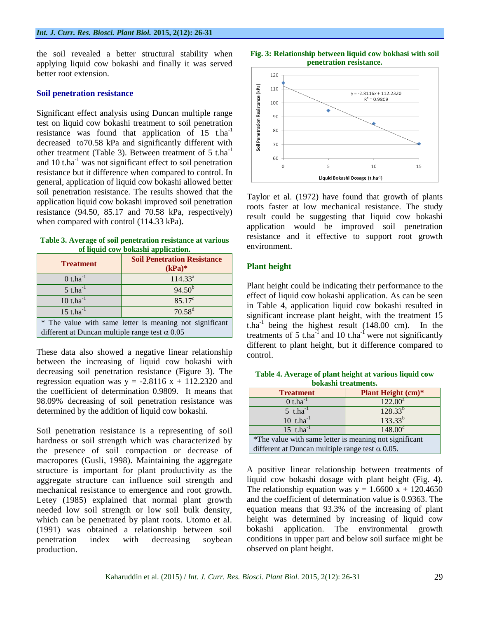the soil revealed a better structural stability when applying liquid cow bokashi and finally it was served better root extension.

### **Soil penetration resistance**

Significant effect analysis using Duncan multiple range test on liquid cow bokashi treatment to soil penetration resistance was found that application of  $15$  t.ha<sup>-1</sup> decreased to70.58 kPa and significantly different with other treatment (Table 3). Between treatment of  $5$  t.ha<sup>-1</sup> and 10 t.ha<sup>-1</sup> was not significant effect to soil penetration resistance but it difference when compared to control. In general, application of liquid cow bokashi allowed better soil penetration resistance. The results showed that the application liquid cow bokashi improved soil penetration resistance (94.50, 85.17 and 70.58 kPa, respectively) when compared with control (114.33 kPa).

**Table 3. Average of soil penetration resistance at various of liquid cow bokashi application.**

| <b>Treatment</b>                                        | <b>Soil Penetration Resistance</b><br>$(kPa)*$ |
|---------------------------------------------------------|------------------------------------------------|
| $0$ t.ha <sup>-1</sup>                                  | 114.33 <sup>a</sup>                            |
| $5$ t.ha <sup>-1</sup>                                  | $94.50^{b}$                                    |
| $10$ t.ha $^{-1}$                                       | $85.17^{\circ}$                                |
| $15$ t.ha $^{-1}$                                       | $70.58^{d}$                                    |
| * The value with same letter is meaning not significant |                                                |
| different at Duncan multiple range test $\alpha$ 0.05   |                                                |

These data also showed a negative linear relationship between the increasing of liquid cow bokashi with decreasing soil penetration resistance (Figure 3). The regression equation was  $y = -2.8116 x + 112.2320$  and the coefficient of determination 0.9809. It means that 98.09% decreasing of soil penetration resistance was determined by the addition of liquid cow bokashi.

Soil penetration resistance is a representing of soil hardness or soil strength which was characterized by the presence of soil compaction or decrease of macropores (Gusli, 1998). Maintaining the aggregate structure is important for plant productivity as the aggregate structure can influence soil strength and mechanical resistance to emergence and root growth. Letey (1985) explained that normal plant growth needed low soil strength or low soil bulk density, which can be penetrated by plant roots. Utomo et al. (1991) was obtained a relationship between soil penetration index with decreasing soybean production.





Taylor et al. (1972) have found that growth of plants roots faster at low mechanical resistance. The study result could be suggesting that liquid cow bokashi application would be improved soil penetration resistance and it effective to support root growth environment.

# **Plant height**

Plant height could be indicating their performance to the effect of liquid cow bokashi application. As can be seen in Table 4, application liquid cow bokashi resulted in significant increase plant height, with the treatment 15 t.ha<sup>-1</sup> being the highest result  $(148.00 \text{ cm})$ . In the treatments of 5 t.ha<sup>-1</sup> and 10 t.ha<sup>-1</sup> were not significantly different to plant height, but it difference compared to control.

| Table 4. Average of plant height at various liquid cow |  |
|--------------------------------------------------------|--|
| bokashi treatments.                                    |  |
| <b>Plant Height (cm)*</b>                              |  |
|                                                        |  |

| пеания                                                 | Train rieight (Cin) |
|--------------------------------------------------------|---------------------|
| $0$ t.ha <sup>-1</sup>                                 | $122.00^a$          |
| $5$ t.ha <sup>-1</sup>                                 | $128.33^{b}$        |
| 10 $t.ha^{-1}$                                         | $133.33^{b}$        |
| 15 t.ha $^{-1}$                                        | $148.00^{\circ}$    |
| *The value with same letter is meaning not significant |                     |
| different at Duncan multiple range test $\alpha$ 0.05. |                     |

A positive linear relationship between treatments of liquid cow bokashi dosage with plant height (Fig. 4). The relationship equation was  $y = 1.6600 \text{ x} + 120.4650$ and the coefficient of determination value is 0.9363. The equation means that 93.3% of the increasing of plant height was determined by increasing of liquid cow bokashi application. The environmental growth conditions in upper part and below soil surface might be observed on plant height.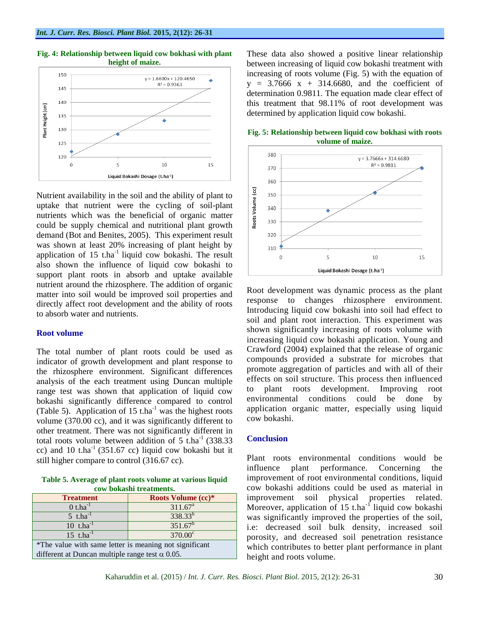

#### **Fig. 4: Relationship between liquid cow bokhasi with plant height of maize.**

Nutrient availability in the soil and the ability of plant to uptake that nutrient were the cycling of soil-plant nutrients which was the beneficial of organic matter could be supply chemical and nutritional plant growth demand (Bot and Benites, 2005). This experiment result was shown at least 20% increasing of plant height by application of  $15$  t.ha<sup>-1</sup> liquid cow bokashi. The result also shown the influence of liquid cow bokashi to support plant roots in absorb and uptake available nutrient around the rhizosphere. The addition of organic matter into soil would be improved soil properties and directly affect root development and the ability of roots to absorb water and nutrients.

# **Root volume**

The total number of plant roots could be used as indicator of growth development and plant response to the rhizosphere environment. Significant differences analysis of the each treatment using Duncan multiple range test was shown that application of liquid cow bokashi significantly difference compared to control (Table 5). Application of  $15$  t.ha<sup>-1</sup> was the highest roots volume (370.00 cc), and it was significantly different to other treatment. There was not significantly different in total roots volume between addition of  $5$  t.ha<sup>-1</sup> (338.33) cc) and 10 t.ha<sup>-1</sup> (351.67 cc) liquid cow bokashi but it still higher compare to control (316.67 cc).

**Table 5. Average of plant roots volume at various liquid cow bokashi treatments.**

| <b>Treatment</b>                                       | Roots Volume (cc)*  |
|--------------------------------------------------------|---------------------|
| $0$ t.ha <sup>-1</sup>                                 | 311.67 <sup>a</sup> |
| $5$ t.ha <sup>-1</sup>                                 | $338.33^{b}$        |
| $10$ t.ha <sup>-1</sup>                                | $351.67^b$          |
| 15 t.ha $^{-1}$                                        | $370.00^\circ$      |
| *The value with same letter is meaning not significant |                     |
| different at Duncan multiple range test $\alpha$ 0.05. |                     |

These data also showed a positive linear relationship between increasing of liquid cow bokashi treatment with increasing of roots volume (Fig. 5) with the equation of  $y = 3.7666$  x + 314.6680, and the coefficient of determination 0.9811. The equation made clear effect of this treatment that 98.11% of root development was determined by application liquid cow bokashi.



**Fig. 5: Relationship between liquid cow bokhasi with roots volume of maize.**

Root development was dynamic process as the plant response to changes rhizosphere environment. Introducing liquid cow bokashi into soil had effect to soil and plant root interaction. This experiment was shown significantly increasing of roots volume with increasing liquid cow bokashi application. Young and Crawford (2004) explained that the release of organic compounds provided a substrate for microbes that promote aggregation of particles and with all of their effects on soil structure. This process then influenced to plant roots development. Improving root environmental conditions could be done by application organic matter, especially using liquid cow bokashi.

# **Conclusion**

Plant roots environmental conditions would be influence plant performance. Concerning the improvement of root environmental conditions, liquid cow bokashi additions could be used as material in improvement soil physical properties related. Moreover, application of 15 t.ha<sup>-1</sup> liquid cow bokashi was significantly improved the properties of the soil, i.e: decreased soil bulk density, increased soil porosity, and decreased soil penetration resistance which contributes to better plant performance in plant height and roots volume.